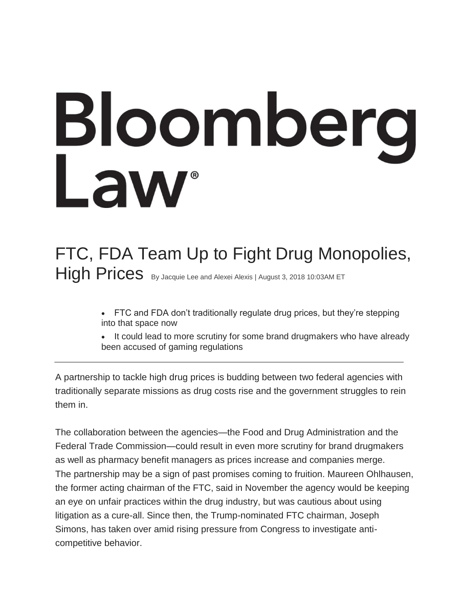# **Bloomberg**<br>Law

# FTC, FDA Team Up to Fight Drug Monopolies, High Prices By Jacquie Lee and Alexei Alexis | August 3, 2018 10:03AM ET

- FTC and FDA don't traditionally regulate drug prices, but they're stepping into that space now
- It could lead to more scrutiny for some brand drugmakers who have already been accused of gaming regulations

A partnership to tackle high drug prices is budding between two federal agencies with traditionally separate missions as drug costs rise and the government struggles to rein them in.

The collaboration between the agencies—the Food and Drug Administration and the Federal Trade Commission—could result in even more scrutiny for brand drugmakers as well as pharmacy benefit managers as prices increase and companies merge. The partnership may be a sign of past promises coming to fruition. Maureen Ohlhausen, the former acting chairman of the FTC, said in November the agency would be keeping an eye on unfair practices within the drug industry, but was cautious about using litigation as a cure-all. Since then, the Trump-nominated FTC chairman, Joseph Simons, has taken over amid rising pressure from Congress to investigate anticompetitive behavior.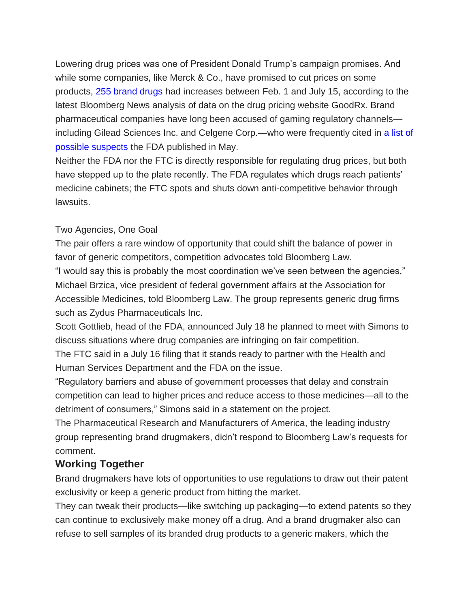Lowering drug prices was one of President Donald Trump's campaign promises. And while some companies, like Merck & Co., have promised to cut prices on some products, [255 brand drugs](https://www.bloomberg.com/graphics/2018-drug-price-index/) had increases between Feb. 1 and July 15, according to the latest Bloomberg News analysis of data on the drug pricing website GoodRx. Brand pharmaceutical companies have long been accused of gaming regulatory channels including Gilead Sciences Inc. and Celgene Corp.—who were frequently cited in [a list of](https://www.fda.gov/Drugs/DevelopmentApprovalProcess/HowDrugsareDevelopedandApproved/ApprovalApplications/AbbreviatedNewDrugApplicationANDAGenerics/ucm607738.htm)  [possible suspects](https://www.fda.gov/Drugs/DevelopmentApprovalProcess/HowDrugsareDevelopedandApproved/ApprovalApplications/AbbreviatedNewDrugApplicationANDAGenerics/ucm607738.htm) the FDA published in May.

Neither the FDA nor the FTC is directly responsible for regulating drug prices, but both have stepped up to the plate recently. The FDA regulates which drugs reach patients' medicine cabinets; the FTC spots and shuts down anti-competitive behavior through lawsuits.

### Two Agencies, One Goal

The pair offers a rare window of opportunity that could shift the balance of power in favor of generic competitors, competition advocates told Bloomberg Law. "I would say this is probably the most coordination we've seen between the agencies," Michael Brzica, vice president of federal government affairs at the Association for Accessible Medicines, told Bloomberg Law. The group represents generic drug firms such as Zydus Pharmaceuticals Inc.

Scott Gottlieb, head of the FDA, announced July 18 he planned to meet with Simons to discuss situations where drug companies are infringing on fair competition.

The FTC said in a July 16 filing that it stands ready to partner with the Health and Human Services Department and the FDA on the issue.

"Regulatory barriers and abuse of government processes that delay and constrain competition can lead to higher prices and reduce access to those medicines—all to the detriment of consumers," Simons said in a statement on the project.

The Pharmaceutical Research and Manufacturers of America, the leading industry group representing brand drugmakers, didn't respond to Bloomberg Law's requests for comment.

## **Working Together**

Brand drugmakers have lots of opportunities to use regulations to draw out their patent exclusivity or keep a generic product from hitting the market.

They can tweak their products—like switching up packaging—to extend patents so they can continue to exclusively make money off a drug. And a brand drugmaker also can refuse to sell samples of its branded drug products to a generic makers, which the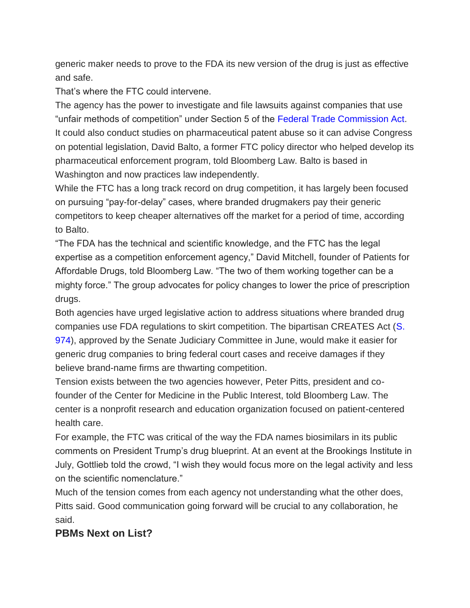generic maker needs to prove to the FDA its new version of the drug is just as effective and safe.

That's where the FTC could intervene.

The agency has the power to investigate and file lawsuits against companies that use "unfair methods of competition" under Section 5 of the [Federal Trade Commission Act.](https://www.ftc.gov/sites/default/files/documents/statutes/federal-trade-commission-act/ftc_act_incorporatingus_safe_web_act.pdf) It could also conduct studies on pharmaceutical patent abuse so it can advise Congress on potential legislation, David Balto, a former FTC policy director who helped develop its pharmaceutical enforcement program, told Bloomberg Law. Balto is based in Washington and now practices law independently.

While the FTC has a long track record on drug competition, it has largely been focused on pursuing "pay-for-delay" cases, where branded drugmakers pay their generic competitors to keep cheaper alternatives off the market for a period of time, according to Balto.

"The FDA has the technical and scientific knowledge, and the FTC has the legal expertise as a competition enforcement agency," David Mitchell, founder of Patients for Affordable Drugs, told Bloomberg Law. "The two of them working together can be a mighty force." The group advocates for policy changes to lower the price of prescription drugs.

Both agencies have urged legislative action to address situations where branded drug companies use FDA regulations to skirt competition. The bipartisan CREATES Act [\(S.](https://www.congress.gov/bill/115th-congress/senate-bill/974)  [974\)](https://www.congress.gov/bill/115th-congress/senate-bill/974), approved by the Senate Judiciary Committee in June, would make it easier for generic drug companies to bring federal court cases and receive damages if they believe brand-name firms are thwarting competition.

Tension exists between the two agencies however, Peter Pitts, president and cofounder of the Center for Medicine in the Public Interest, told Bloomberg Law. The center is a nonprofit research and education organization focused on patient-centered health care.

For example, the FTC was critical of the way the FDA names biosimilars in its public comments on President Trump's drug blueprint. At an event at the Brookings Institute in July, Gottlieb told the crowd, "I wish they would focus more on the legal activity and less on the scientific nomenclature."

Much of the tension comes from each agency not understanding what the other does, Pitts said. Good communication going forward will be crucial to any collaboration, he said.

### **PBMs Next on List?**